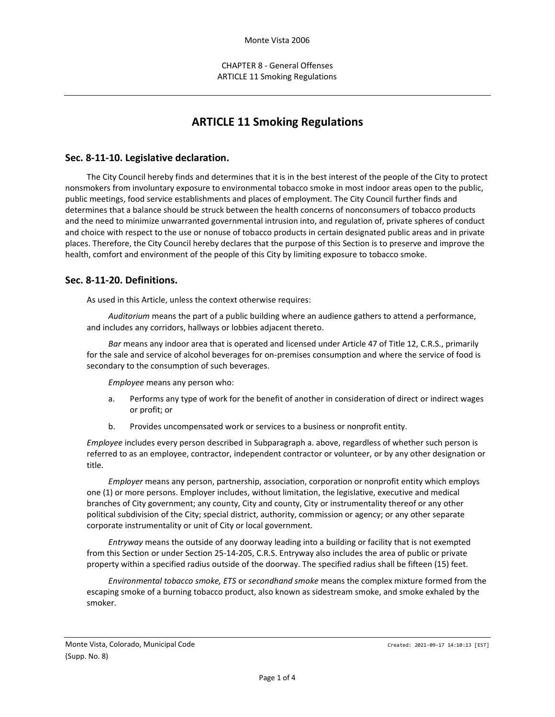# **ARTICLE 11 Smoking Regulations**

### **Sec. 8-11-10. Legislative declaration.**

The City Council hereby finds and determines that it is in the best interest of the people of the City to protect nonsmokers from involuntary exposure to environmental tobacco smoke in most indoor areas open to the public, public meetings, food service establishments and places of employment. The City Council further finds and determines that a balance should be struck between the health concerns of nonconsumers of tobacco products and the need to minimize unwarranted governmental intrusion into, and regulation of, private spheres of conduct and choice with respect to the use or nonuse of tobacco products in certain designated public areas and in private places. Therefore, the City Council hereby declares that the purpose of this Section is to preserve and improve the health, comfort and environment of the people of this City by limiting exposure to tobacco smoke.

#### **Sec. 8-11-20. Definitions.**

As used in this Article, unless the context otherwise requires:

*Auditorium* means the part of a public building where an audience gathers to attend a performance, and includes any corridors, hallways or lobbies adjacent thereto.

*Bar* means any indoor area that is operated and licensed under Article 47 of Title 12, C.R.S., primarily for the sale and service of alcohol beverages for on-premises consumption and where the service of food is secondary to the consumption of such beverages.

*Employee* means any person who:

- a. Performs any type of work for the benefit of another in consideration of direct or indirect wages or profit; or
- b. Provides uncompensated work or services to a business or nonprofit entity.

*Employee* includes every person described in Subparagraph a. above, regardless of whether such person is referred to as an employee, contractor, independent contractor or volunteer, or by any other designation or title.

*Employer* means any person, partnership, association, corporation or nonprofit entity which employs one (1) or more persons. Employer includes, without limitation, the legislative, executive and medical branches of City government; any county, City and county, City or instrumentality thereof or any other political subdivision of the City; special district, authority, commission or agency; or any other separate corporate instrumentality or unit of City or local government.

*Entryway* means the outside of any doorway leading into a building or facility that is not exempted from this Section or under Section 25-14-205, C.R.S. Entryway also includes the area of public or private property within a specified radius outside of the doorway. The specified radius shall be fifteen (15) feet.

*Environmental tobacco smoke, ETS* or *secondhand smoke* means the complex mixture formed from the escaping smoke of a burning tobacco product, also known as sidestream smoke, and smoke exhaled by the smoker.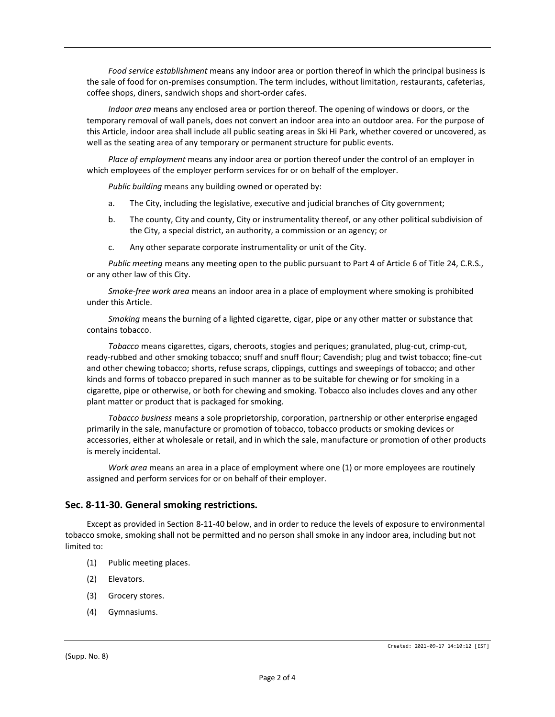*Food service establishment* means any indoor area or portion thereof in which the principal business is the sale of food for on-premises consumption. The term includes, without limitation, restaurants, cafeterias, coffee shops, diners, sandwich shops and short-order cafes.

*Indoor area* means any enclosed area or portion thereof. The opening of windows or doors, or the temporary removal of wall panels, does not convert an indoor area into an outdoor area. For the purpose of this Article, indoor area shall include all public seating areas in Ski Hi Park, whether covered or uncovered, as well as the seating area of any temporary or permanent structure for public events.

*Place of employment* means any indoor area or portion thereof under the control of an employer in which employees of the employer perform services for or on behalf of the employer.

*Public building* means any building owned or operated by:

- a. The City, including the legislative, executive and judicial branches of City government;
- b. The county, City and county, City or instrumentality thereof, or any other political subdivision of the City, a special district, an authority, a commission or an agency; or
- c. Any other separate corporate instrumentality or unit of the City.

*Public meeting* means any meeting open to the public pursuant to Part 4 of Article 6 of Title 24, C.R.S., or any other law of this City.

*Smoke-free work area* means an indoor area in a place of employment where smoking is prohibited under this Article.

*Smoking* means the burning of a lighted cigarette, cigar, pipe or any other matter or substance that contains tobacco.

*Tobacco* means cigarettes, cigars, cheroots, stogies and periques; granulated, plug-cut, crimp-cut, ready-rubbed and other smoking tobacco; snuff and snuff flour; Cavendish; plug and twist tobacco; fine-cut and other chewing tobacco; shorts, refuse scraps, clippings, cuttings and sweepings of tobacco; and other kinds and forms of tobacco prepared in such manner as to be suitable for chewing or for smoking in a cigarette, pipe or otherwise, or both for chewing and smoking. Tobacco also includes cloves and any other plant matter or product that is packaged for smoking.

*Tobacco business* means a sole proprietorship, corporation, partnership or other enterprise engaged primarily in the sale, manufacture or promotion of tobacco, tobacco products or smoking devices or accessories, either at wholesale or retail, and in which the sale, manufacture or promotion of other products is merely incidental.

*Work area* means an area in a place of employment where one (1) or more employees are routinely assigned and perform services for or on behalf of their employer.

# **Sec. 8-11-30. General smoking restrictions.**

Except as provided in Section 8-11-40 below, and in order to reduce the levels of exposure to environmental tobacco smoke, smoking shall not be permitted and no person shall smoke in any indoor area, including but not limited to:

- (1) Public meeting places.
- (2) Elevators.
- (3) Grocery stores.
- (4) Gymnasiums.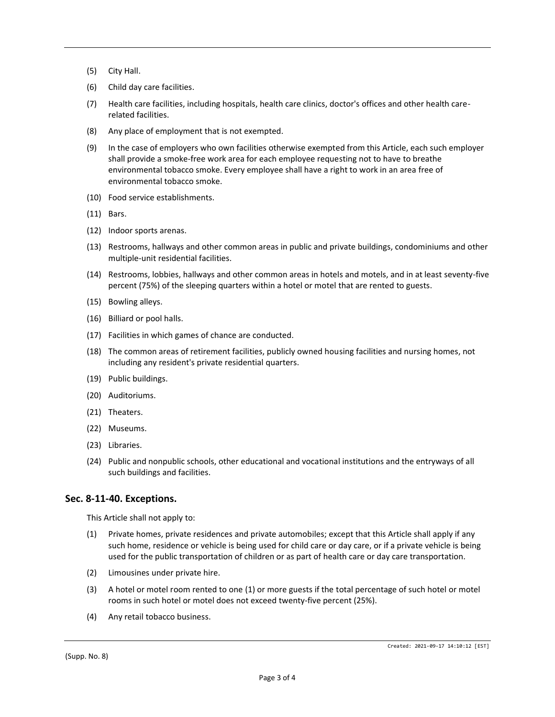- (5) City Hall.
- (6) Child day care facilities.
- (7) Health care facilities, including hospitals, health care clinics, doctor's offices and other health carerelated facilities.
- (8) Any place of employment that is not exempted.
- (9) In the case of employers who own facilities otherwise exempted from this Article, each such employer shall provide a smoke-free work area for each employee requesting not to have to breathe environmental tobacco smoke. Every employee shall have a right to work in an area free of environmental tobacco smoke.
- (10) Food service establishments.
- (11) Bars.
- (12) Indoor sports arenas.
- (13) Restrooms, hallways and other common areas in public and private buildings, condominiums and other multiple-unit residential facilities.
- (14) Restrooms, lobbies, hallways and other common areas in hotels and motels, and in at least seventy-five percent (75%) of the sleeping quarters within a hotel or motel that are rented to guests.
- (15) Bowling alleys.
- (16) Billiard or pool halls.
- (17) Facilities in which games of chance are conducted.
- (18) The common areas of retirement facilities, publicly owned housing facilities and nursing homes, not including any resident's private residential quarters.
- (19) Public buildings.
- (20) Auditoriums.
- (21) Theaters.
- (22) Museums.
- (23) Libraries.
- (24) Public and nonpublic schools, other educational and vocational institutions and the entryways of all such buildings and facilities.

#### **Sec. 8-11-40. Exceptions.**

This Article shall not apply to:

- (1) Private homes, private residences and private automobiles; except that this Article shall apply if any such home, residence or vehicle is being used for child care or day care, or if a private vehicle is being used for the public transportation of children or as part of health care or day care transportation.
- (2) Limousines under private hire.
- (3) A hotel or motel room rented to one (1) or more guests if the total percentage of such hotel or motel rooms in such hotel or motel does not exceed twenty-five percent (25%).
- (4) Any retail tobacco business.